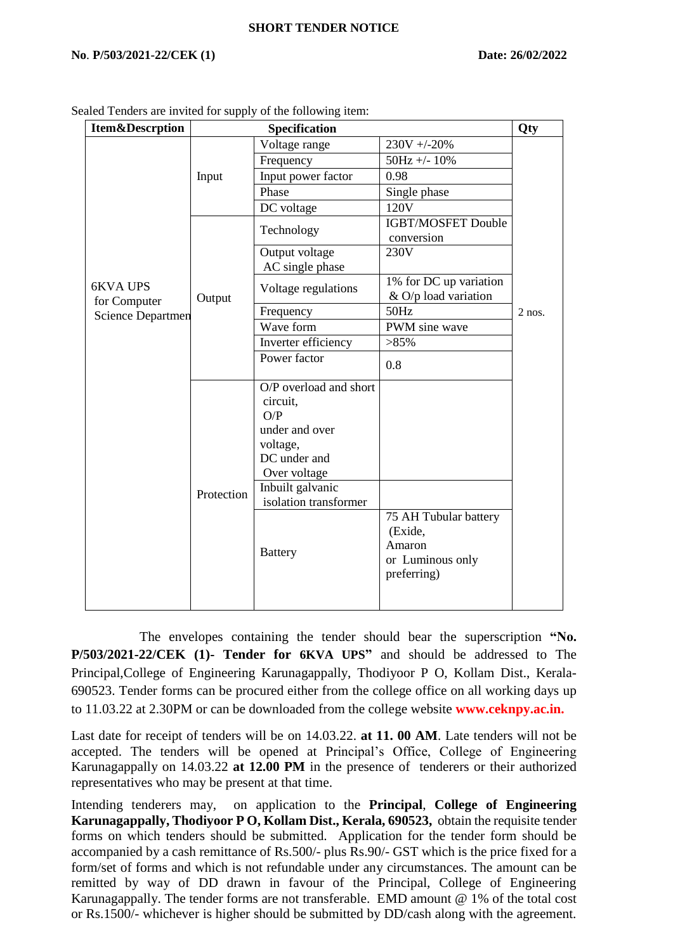## **SHORT TENDER NOTICE**

## **No**. **P/503/2021-22/CEK (1) Date: 26/02/2022**

| <b>Item&amp;Descrption</b>                                  | Specification |                                                                                                         |                                                                               | Qty      |
|-------------------------------------------------------------|---------------|---------------------------------------------------------------------------------------------------------|-------------------------------------------------------------------------------|----------|
| <b>6KVA UPS</b><br>for Computer<br><b>Science Departmen</b> | Input         | Voltage range                                                                                           | $230V + -20%$                                                                 |          |
|                                                             |               | Frequency                                                                                               | $50Hz +/- 10%$                                                                | $2$ nos. |
|                                                             |               | Input power factor                                                                                      | 0.98                                                                          |          |
|                                                             |               | Phase                                                                                                   | Single phase                                                                  |          |
|                                                             |               | DC voltage                                                                                              | 120V                                                                          |          |
|                                                             | Output        | Technology                                                                                              | <b>IGBT/MOSFET Double</b><br>conversion                                       |          |
|                                                             |               | Output voltage<br>AC single phase                                                                       | 230V                                                                          |          |
|                                                             |               | Voltage regulations                                                                                     | 1% for DC up variation<br>$&$ O/p load variation                              |          |
|                                                             |               | Frequency                                                                                               | 50Hz                                                                          |          |
|                                                             |               | Wave form                                                                                               | PWM sine wave                                                                 |          |
|                                                             |               | Inverter efficiency                                                                                     | $>85\%$                                                                       |          |
|                                                             |               | Power factor                                                                                            | 0.8                                                                           |          |
|                                                             |               | O/P overload and short<br>circuit,<br>O/P<br>under and over<br>voltage,<br>DC under and<br>Over voltage |                                                                               |          |
|                                                             | Protection    | Inbuilt galvanic                                                                                        |                                                                               |          |
|                                                             |               | isolation transformer                                                                                   |                                                                               |          |
|                                                             |               | <b>Battery</b>                                                                                          | 75 AH Tubular battery<br>(Exide,<br>Amaron<br>or Luminous only<br>preferring) |          |

Sealed Tenders are invited for supply of the following item:

 The envelopes containing the tender should bear the superscription **"No. P/503/2021-22/CEK (1)- Tender for 6KVA UPS"** and should be addressed to The Principal,College of Engineering Karunagappally, Thodiyoor P O, Kollam Dist., Kerala-690523. Tender forms can be procured either from the college office on all working days up to 11.03.22 at 2.30PM or can be downloaded from the college website **www.ceknpy.ac.in.**

Last date for receipt of tenders will be on 14.03.22. **at 11. 00 AM**. Late tenders will not be accepted. The tenders will be opened at Principal's Office, College of Engineering Karunagappally on 14.03.22 **at 12.00 PM** in the presence of tenderers or their authorized representatives who may be present at that time.

Intending tenderers may, on application to the **Principal**, **College of Engineering Karunagappally, Thodiyoor P O, Kollam Dist., Kerala, 690523,** obtain the requisite tender forms on which tenders should be submitted. Application for the tender form should be accompanied by a cash remittance of Rs.500/- plus Rs.90/- GST which is the price fixed for a form/set of forms and which is not refundable under any circumstances. The amount can be remitted by way of DD drawn in favour of the Principal, College of Engineering Karunagappally. The tender forms are not transferable. EMD amount @ 1% of the total cost or Rs.1500/- whichever is higher should be submitted by DD/cash along with the agreement.